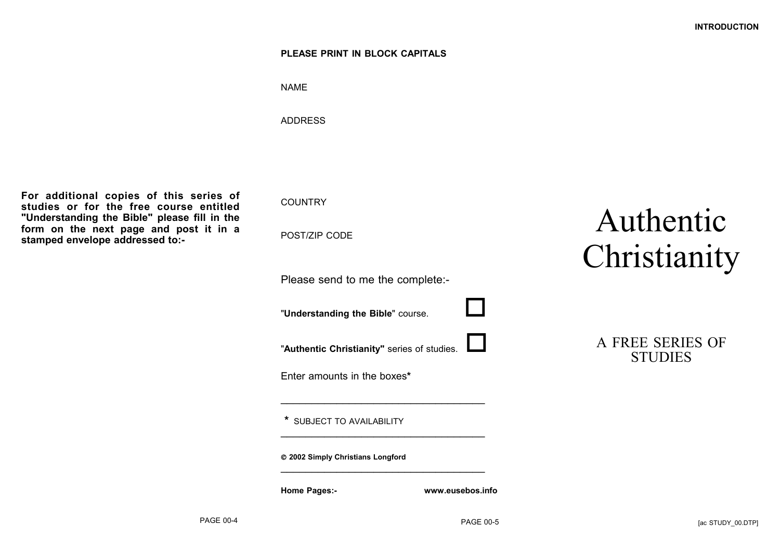#### **PLEASE PRINT IN BLOCK CAPITALS**

NAME

ADDRESS

**For additional copies of this series of studies or for the free course entitled "Understanding the Bible" please fill in the form on the next page and post it in a stamped envelope addressed to:-**

**COUNTRY** 

POST/ZIP CODE

Please send to me the complete:-

"**Understanding the Bible**" course.

"**Authentic Christianity"** series of studies.

 $\overline{\phantom{a}}$  , where the contract of the contract of the contract of the contract of the contract of the contract of the contract of the contract of the contract of the contract of the contract of the contract of the contr

 $\overline{\phantom{a}}$  , where the contract of the contract of the contract of the contract of the contract of the contract of the contract of the contract of the contract of the contract of the contract of the contract of the contr

 $\overline{\phantom{a}}$  , where the contract of the contract of the contract of the contract of the contract of the contract of the contract of the contract of the contract of the contract of the contract of the contract of the contr

Enter amounts in the boxes**\***

**\*** SUBJECT TO AVAILABILITY

**2002 Simply Christians Longford**

**Home Pages:- www.eusebos.info**

# Authentic Christianity

| A FREE SERIES OF |
|------------------|
| <b>STUDIES</b>   |